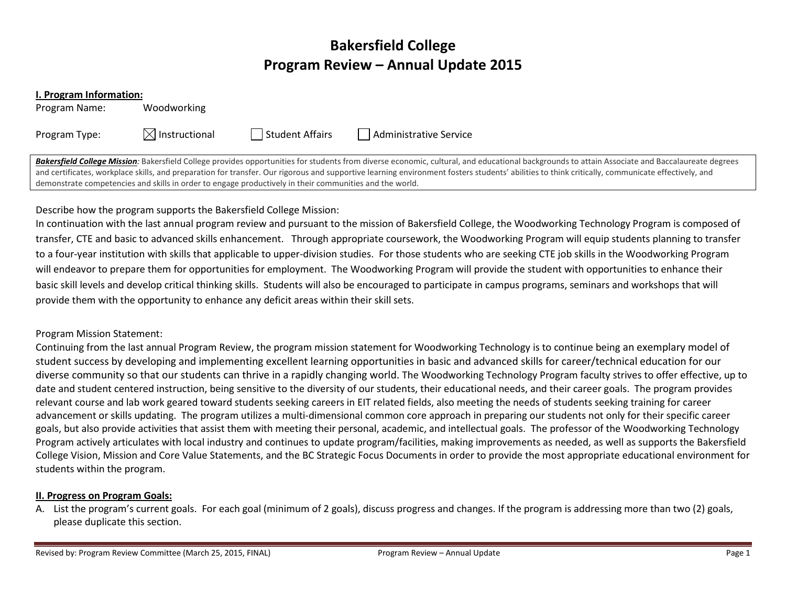# Bakersfield College Program Review – Annual Update 2015

#### I. Program Information:

Program Name: Woodworking

Program Type:  $\boxtimes$  Instructional  $\Box$  Student Affairs  $\Box$  Administrative Service

Bakersfield College Mission: Bakersfield College provides opportunities for students from diverse economic, cultural, and educational backgrounds to attain Associate and Baccalaureate degrees and certificates, workplace skills, and preparation for transfer. Our rigorous and supportive learning environment fosters students' abilities to think critically, communicate effectively, and demonstrate competencies and skills in order to engage productively in their communities and the world.

## Describe how the program supports the Bakersfield College Mission:

In continuation with the last annual program review and pursuant to the mission of Bakersfield College, the Woodworking Technology Program is composed of transfer, CTE and basic to advanced skills enhancement. Through appropriate coursework, the Woodworking Program will equip students planning to transferto a four-year institution with skills that applicable to upper-division studies. For those students who are seeking CTE job skills in the Woodworking Program will endeavor to prepare them for opportunities for employment. The Woodworking Program will provide the student with opportunities to enhance their basic skill levels and develop critical thinking skills. Students will also be encouraged to participate in campus programs, seminars and workshops that will provide them with the opportunity to enhance any deficit areas within their skill sets.

## Program Mission Statement:

Continuing from the last annual Program Review, the program mission statement for Woodworking Technology is to continue being an exemplary model of student success by developing and implementing excellent learning opportunities in basic and advanced skills for career/technical education for our diverse community so that our students can thrive in a rapidly changing world. The Woodworking Technology Program faculty strives to offer effective, up to date and student centered instruction, being sensitive to the diversity of our students, their educational needs, and their career goals. The program provides relevant course and lab work geared toward students seeking careers in EIT related fields, also meeting the needs of students seeking training for careeradvancement or skills updating. The program utilizes a multi‐dimensional common core approach in preparing our students not only for their specific career goals, but also provide activities that assist them with meeting their personal, academic, and intellectual goals. The professor of the Woodworking Technology Program actively articulates with local industry and continues to update program/facilities, making improvements as needed, as well as supports the Bakersfield College Vision, Mission and Core Value Statements, and the BC Strategic Focus Documents in order to provide the most appropriate educational environment for students within the program.

### II. Progress on Program Goals:

A. List the program's current goals. For each goal (minimum of 2 goals), discuss progress and changes. If the program is addressing more than two (2) goals, please duplicate this section.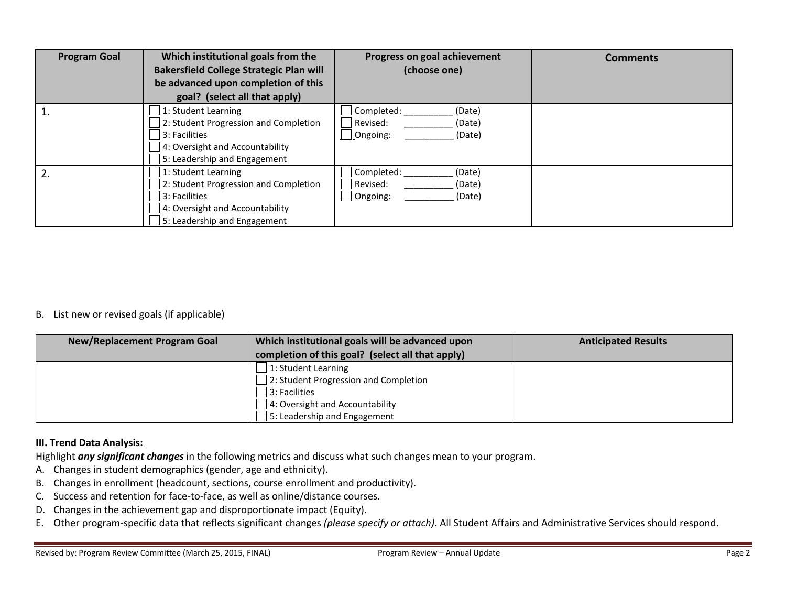| <b>Program Goal</b> | Which institutional goals from the<br><b>Bakersfield College Strategic Plan will</b><br>be advanced upon completion of this<br>goal? (select all that apply) | Progress on goal achievement<br>(choose one)                     | <b>Comments</b> |
|---------------------|--------------------------------------------------------------------------------------------------------------------------------------------------------------|------------------------------------------------------------------|-----------------|
|                     | 1: Student Learning<br>2: Student Progression and Completion<br>3: Facilities<br>4: Oversight and Accountability<br>5: Leadership and Engagement             | Completed:<br>(Date)<br>Revised:<br>(Date)<br>Ongoing:<br>(Date) |                 |
| 2 <sub>1</sub>      | 1: Student Learning<br>2: Student Progression and Completion<br>3: Facilities<br>4: Oversight and Accountability<br>5: Leadership and Engagement             | Completed:<br>(Date)<br>Revised:<br>(Date)<br>Ongoing:<br>(Date) |                 |

### B. List new or revised goals (if applicable)

| <b>New/Replacement Program Goal</b> | Which institutional goals will be advanced upon<br>completion of this goal? (select all that apply) | <b>Anticipated Results</b> |
|-------------------------------------|-----------------------------------------------------------------------------------------------------|----------------------------|
|                                     | 1: Student Learning                                                                                 |                            |
|                                     | $\Box$ 2: Student Progression and Completion                                                        |                            |
|                                     | 3: Facilities                                                                                       |                            |
|                                     | 4: Oversight and Accountability                                                                     |                            |
|                                     | 5: Leadership and Engagement                                                                        |                            |

### **III. Trend Data Analysis:**

Highlight any significant changes in the following metrics and discuss what such changes mean to your program.

- A. Changes in student demographics (gender, age and ethnicity).
- B. Changes in enrollment (headcount, sections, course enrollment and productivity).
- C. Success and retention for face‐to‐face, as well as online/distance courses.
- D. Changes in the achievement gap and disproportionate impact (Equity).
- E. Other program-specific data that reflects significant changes *(please specify or attach).* All Student Affairs and Administrative Services should respond.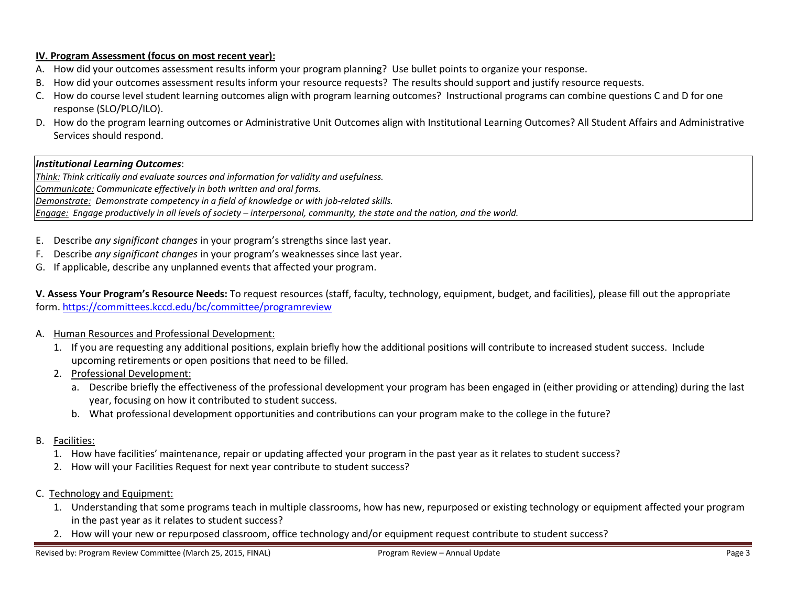## IV. Program Assessment (focus on most recent year):

- A. How did your outcomes assessment results inform your program planning? Use bullet points to organize your response.
- B. How did your outcomes assessment results inform your resource requests? The results should support and justify resource requests.
- C. How do course level student learning outcomes align with program learning outcomes? Instructional programs can combine questions C and D for one response (SLO/PLO/ILO).
- D. How do the program learning outcomes or Administrative Unit Outcomes align with Institutional Learning Outcomes? All Student Affairs and Administrative Services should respond.

#### **Institutional Learning Outcomes:**

Think: Think critically and evaluate sources and information for validity and usefulness. Communicate: Communicate effectively in both written and oral forms. Demonstrate: Demonstrate competency in a field of knowledge or with job-related skills. Engage: Engage productively in all levels of society – interpersonal, community, the state and the nation, and the world.

- E. Describe any significant changes in your program's strengths since last year.
- F. Describe *any significant changes* in your program's weaknesses since last year.
- G. If applicable, describe any unplanned events that affected your program.

V. Assess Your Program's Resource Needs: To request resources (staff, faculty, technology, equipment, budget, and facilities), please fill out the appropriate form. https://committees.kccd.edu/bc/committee/programreview

- A. Human Resources and Professional Development:
	- 1. If you are requesting any additional positions, explain briefly how the additional positions will contribute to increased student success. Include upcoming retirements or open positions that need to be filled.
	- 2. Professional Development:
		- a. Describe briefly the effectiveness of the professional development your program has been engaged in (either providing or attending) during the last year, focusing on how it contributed to student success.
		- b. What professional development opportunities and contributions can your program make to the college in the future?
- B. <u>Facilities:</u>
	- 1. How have facilities' maintenance, repair or updating affected your program in the past year as it relates to student success?
	- 2. How will your Facilities Request for next year contribute to student success?
- C. Technology and Equipment:
	- 1. Understanding that some programs teach in multiple classrooms, how has new, repurposed or existing technology or equipment affected your program in the past year as it relates to student success?
	- 2. How will your new or repurposed classroom, office technology and/or equipment request contribute to student success?